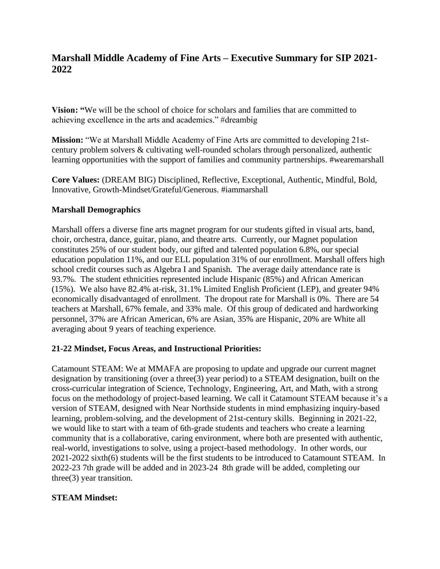# **Marshall Middle Academy of Fine Arts – Executive Summary for SIP 2021- 2022**

**Vision: "**We will be the school of choice for scholars and families that are committed to achieving excellence in the arts and academics." #dreambig

**Mission:** "We at Marshall Middle Academy of Fine Arts are committed to developing 21stcentury problem solvers & cultivating well-rounded scholars through personalized, authentic learning opportunities with the support of families and community partnerships. #wearemarshall

**Core Values:** (DREAM BIG) Disciplined, Reflective, Exceptional, Authentic, Mindful, Bold, Innovative, Growth-Mindset/Grateful/Generous. #iammarshall

## **Marshall Demographics**

Marshall offers a diverse fine arts magnet program for our students gifted in visual arts, band, choir, orchestra, dance, guitar, piano, and theatre arts. Currently, our Magnet population constitutes 25% of our student body, our gifted and talented population 6.8%, our special education population 11%, and our ELL population 31% of our enrollment. Marshall offers high school credit courses such as Algebra I and Spanish. The average daily attendance rate is 93.7%. The student ethnicities represented include Hispanic (85%) and African American (15%). We also have 82.4% at-risk, 31.1% Limited English Proficient (LEP), and greater 94% economically disadvantaged of enrollment. The dropout rate for Marshall is 0%. There are 54 teachers at Marshall, 67% female, and 33% male. Of this group of dedicated and hardworking personnel, 37% are African American, 6% are Asian, 35% are Hispanic, 20% are White all averaging about 9 years of teaching experience.

## **21-22 Mindset, Focus Areas, and Instructional Priorities:**

Catamount STEAM: We at MMAFA are proposing to update and upgrade our current magnet designation by transitioning (over a three(3) year period) to a STEAM designation, built on the cross-curricular integration of Science, Technology, Engineering, Art, and Math, with a strong focus on the methodology of project-based learning. We call it Catamount STEAM because it's a version of STEAM, designed with Near Northside students in mind emphasizing inquiry-based learning, problem-solving, and the development of 21st-century skills. Beginning in 2021-22, we would like to start with a team of 6th-grade students and teachers who create a learning community that is a collaborative, caring environment, where both are presented with authentic, real-world, investigations to solve, using a project-based methodology. In other words, our 2021-2022 sixth(6) students will be the first students to be introduced to Catamount STEAM. In 2022-23 7th grade will be added and in 2023-24 8th grade will be added, completing our three(3) year transition.

## **STEAM Mindset:**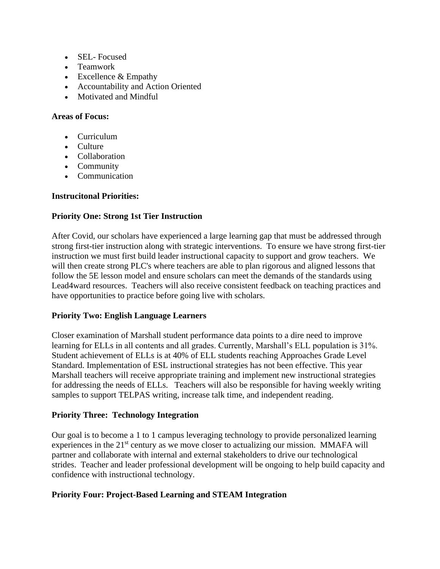- SEL- Focused
- Teamwork
- Excellence & Empathy
- Accountability and Action Oriented
- Motivated and Mindful

#### **Areas of Focus:**

- Curriculum
- Culture
- Collaboration
- Community
- Communication

#### **Instrucitonal Priorities:**

#### **Priority One: Strong 1st Tier Instruction**

After Covid, our scholars have experienced a large learning gap that must be addressed through strong first-tier instruction along with strategic interventions. To ensure we have strong first-tier instruction we must first build leader instructional capacity to support and grow teachers. We will then create strong PLC's where teachers are able to plan rigorous and aligned lessons that follow the 5E lesson model and ensure scholars can meet the demands of the standards using Lead4ward resources. Teachers will also receive consistent feedback on teaching practices and have opportunities to practice before going live with scholars.

#### **Priority Two: English Language Learners**

Closer examination of Marshall student performance data points to a dire need to improve learning for ELLs in all contents and all grades. Currently, Marshall's ELL population is 31%. Student achievement of ELLs is at 40% of ELL students reaching Approaches Grade Level Standard. Implementation of ESL instructional strategies has not been effective. This year Marshall teachers will receive appropriate training and implement new instructional strategies for addressing the needs of ELLs. Teachers will also be responsible for having weekly writing samples to support TELPAS writing, increase talk time, and independent reading.

#### **Priority Three: Technology Integration**

Our goal is to become a 1 to 1 campus leveraging technology to provide personalized learning experiences in the  $21<sup>st</sup>$  century as we move closer to actualizing our mission. MMAFA will partner and collaborate with internal and external stakeholders to drive our technological strides. Teacher and leader professional development will be ongoing to help build capacity and confidence with instructional technology.

## **Priority Four: Project-Based Learning and STEAM Integration**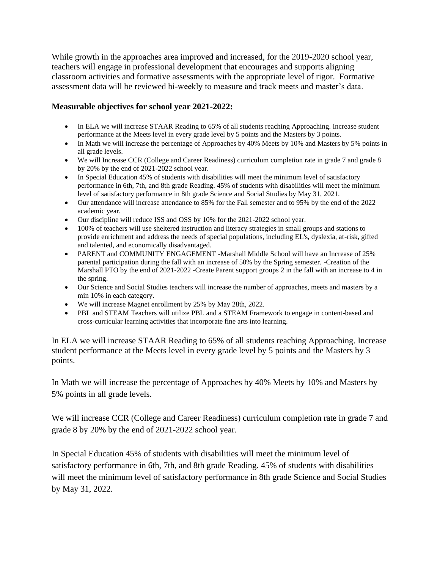While growth in the approaches area improved and increased, for the 2019-2020 school year, teachers will engage in professional development that encourages and supports aligning classroom activities and formative assessments with the appropriate level of rigor. Formative assessment data will be reviewed bi-weekly to measure and track meets and master's data.

### **Measurable objectives for school year 2021-2022:**

- In ELA we will increase STAAR Reading to 65% of all students reaching Approaching. Increase student performance at the Meets level in every grade level by 5 points and the Masters by 3 points.
- In Math we will increase the percentage of Approaches by 40% Meets by 10% and Masters by 5% points in all grade levels.
- We will Increase CCR (College and Career Readiness) curriculum completion rate in grade 7 and grade 8 by 20% by the end of 2021-2022 school year.
- In Special Education 45% of students with disabilities will meet the minimum level of satisfactory performance in 6th, 7th, and 8th grade Reading. 45% of students with disabilities will meet the minimum level of satisfactory performance in 8th grade Science and Social Studies by May 31, 2021.
- Our attendance will increase attendance to 85% for the Fall semester and to 95% by the end of the 2022 academic year.
- Our discipline will reduce ISS and OSS by 10% for the 2021-2022 school year.
- 100% of teachers will use sheltered instruction and literacy strategies in small groups and stations to provide enrichment and address the needs of special populations, including EL's, dyslexia, at-risk, gifted and talented, and economically disadvantaged.
- PARENT and COMMUNITY ENGAGEMENT -Marshall Middle School will have an Increase of 25% parental participation during the fall with an increase of 50% by the Spring semester. -Creation of the Marshall PTO by the end of 2021-2022 -Create Parent support groups 2 in the fall with an increase to 4 in the spring.
- Our Science and Social Studies teachers will increase the number of approaches, meets and masters by a min 10% in each category.
- We will increase Magnet enrollment by 25% by May 28th, 2022.
- PBL and STEAM Teachers will utilize PBL and a STEAM Framework to engage in content-based and cross-curricular learning activities that incorporate fine arts into learning.

In ELA we will increase STAAR Reading to 65% of all students reaching Approaching. Increase student performance at the Meets level in every grade level by 5 points and the Masters by 3 points.

In Math we will increase the percentage of Approaches by 40% Meets by 10% and Masters by 5% points in all grade levels.

We will increase CCR (College and Career Readiness) curriculum completion rate in grade 7 and grade 8 by 20% by the end of 2021-2022 school year.

In Special Education 45% of students with disabilities will meet the minimum level of satisfactory performance in 6th, 7th, and 8th grade Reading. 45% of students with disabilities will meet the minimum level of satisfactory performance in 8th grade Science and Social Studies by May 31, 2022.